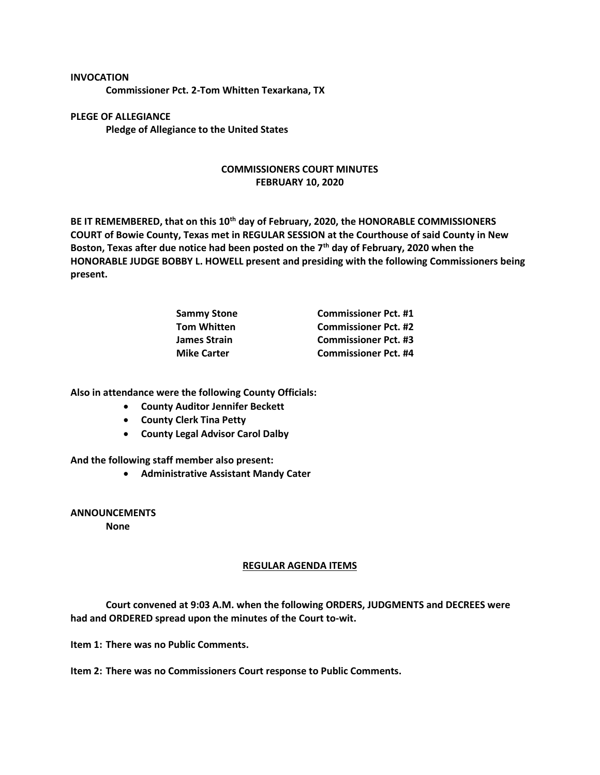**INVOCATION Commissioner Pct. 2-Tom Whitten Texarkana, TX**

**PLEGE OF ALLEGIANCE Pledge of Allegiance to the United States**

## **COMMISSIONERS COURT MINUTES FEBRUARY 10, 2020**

**BE IT REMEMBERED, that on this 10th day of February, 2020, the HONORABLE COMMISSIONERS COURT of Bowie County, Texas met in REGULAR SESSION at the Courthouse of said County in New Boston, Texas after due notice had been posted on the 7th day of February, 2020 when the HONORABLE JUDGE BOBBY L. HOWELL present and presiding with the following Commissioners being present.**

| <b>Commissioner Pct. #1</b> |
|-----------------------------|
| <b>Commissioner Pct. #2</b> |
| <b>Commissioner Pct. #3</b> |
| <b>Commissioner Pct. #4</b> |
|                             |

**Also in attendance were the following County Officials:**

- **County Auditor Jennifer Beckett**
- **County Clerk Tina Petty**
- **County Legal Advisor Carol Dalby**

**And the following staff member also present:**

• **Administrative Assistant Mandy Cater**

**ANNOUNCEMENTS**

**None**

## **REGULAR AGENDA ITEMS**

**Court convened at 9:03 A.M. when the following ORDERS, JUDGMENTS and DECREES were had and ORDERED spread upon the minutes of the Court to-wit.**

**Item 1: There was no Public Comments.**

**Item 2: There was no Commissioners Court response to Public Comments.**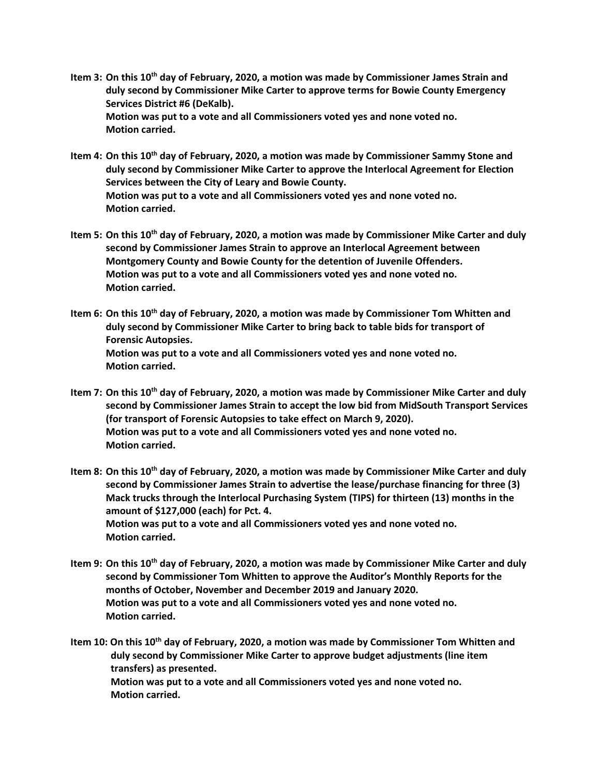- **Item 3: On this 10th day of February, 2020, a motion was made by Commissioner James Strain and duly second by Commissioner Mike Carter to approve terms for Bowie County Emergency Services District #6 (DeKalb). Motion was put to a vote and all Commissioners voted yes and none voted no. Motion carried.**
- **Item 4: On this 10th day of February, 2020, a motion was made by Commissioner Sammy Stone and duly second by Commissioner Mike Carter to approve the Interlocal Agreement for Election Services between the City of Leary and Bowie County. Motion was put to a vote and all Commissioners voted yes and none voted no. Motion carried.**
- **Item 5: On this 10th day of February, 2020, a motion was made by Commissioner Mike Carter and duly second by Commissioner James Strain to approve an Interlocal Agreement between Montgomery County and Bowie County for the detention of Juvenile Offenders. Motion was put to a vote and all Commissioners voted yes and none voted no. Motion carried.**
- **Item 6: On this 10th day of February, 2020, a motion was made by Commissioner Tom Whitten and duly second by Commissioner Mike Carter to bring back to table bids for transport of Forensic Autopsies. Motion was put to a vote and all Commissioners voted yes and none voted no. Motion carried.**
- **Item 7: On this 10th day of February, 2020, a motion was made by Commissioner Mike Carter and duly second by Commissioner James Strain to accept the low bid from MidSouth Transport Services (for transport of Forensic Autopsies to take effect on March 9, 2020). Motion was put to a vote and all Commissioners voted yes and none voted no. Motion carried.**
- **Item 8: On this 10th day of February, 2020, a motion was made by Commissioner Mike Carter and duly second by Commissioner James Strain to advertise the lease/purchase financing for three (3) Mack trucks through the Interlocal Purchasing System (TIPS) for thirteen (13) months in the amount of \$127,000 (each) for Pct. 4. Motion was put to a vote and all Commissioners voted yes and none voted no. Motion carried.**
- **Item 9: On this 10th day of February, 2020, a motion was made by Commissioner Mike Carter and duly second by Commissioner Tom Whitten to approve the Auditor's Monthly Reports for the months of October, November and December 2019 and January 2020. Motion was put to a vote and all Commissioners voted yes and none voted no. Motion carried.**

**Item 10: On this 10th day of February, 2020, a motion was made by Commissioner Tom Whitten and duly second by Commissioner Mike Carter to approve budget adjustments (line item transfers) as presented. Motion was put to a vote and all Commissioners voted yes and none voted no. Motion carried.**